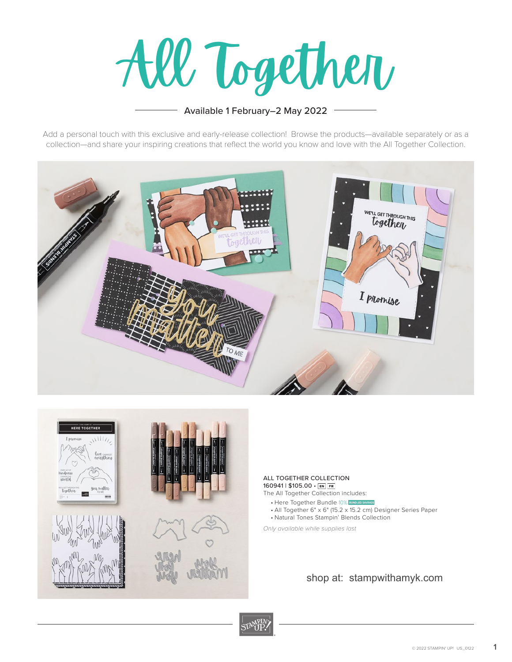All Together

## Available 1 February–2 May 2022

Add a personal touch with this exclusive and early-release collection! Browse the products—available separately or as a collection—and share your inspiring creations that reflect the world you know and love with the All Together Collection.





## ALL TOGETHER COLLECTION 160941 | \$105.00 · EN FR

- The All Together Collection includes:
	- Here Together Bundle 10% BUNDLED SAVINGS
	- All Together 6" x 6" (15.2 x 15.2 cm) Designer Series Paper
	- Natural Tones Stampin' Blends Collection

*Only available while supplies last*

## shop at: stampwithamyk.com